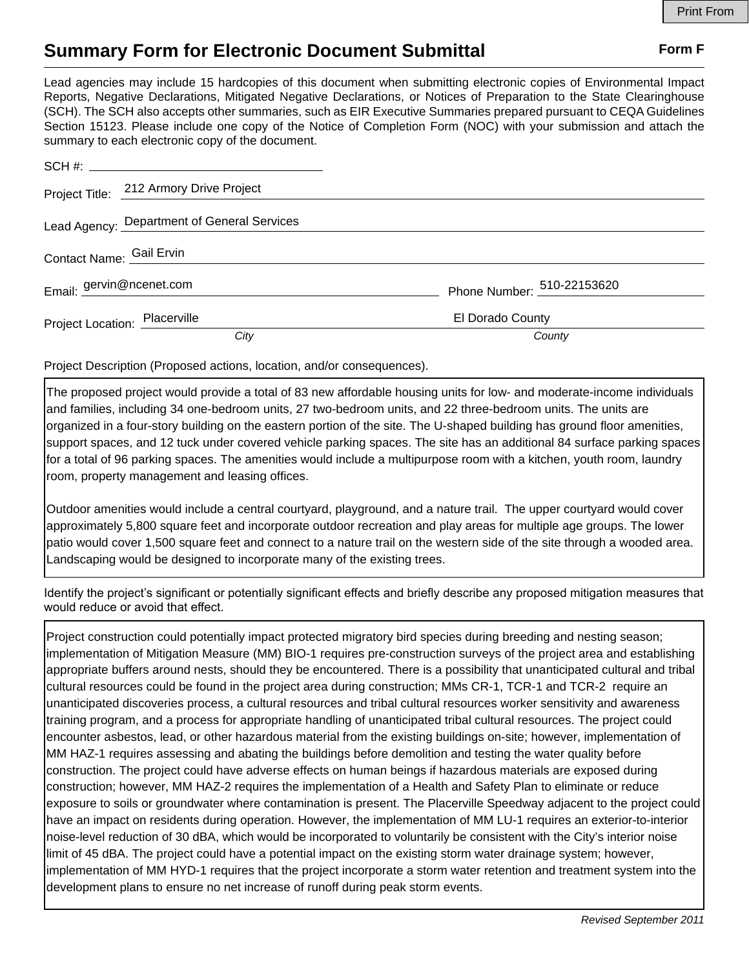## **Summary Form for Electronic Document Submittal Form F Form F**

Lead agencies may include 15 hardcopies of this document when submitting electronic copies of Environmental Impact Reports, Negative Declarations, Mitigated Negative Declarations, or Notices of Preparation to the State Clearinghouse (SCH). The SCH also accepts other summaries, such as EIR Executive Summaries prepared pursuant to CEQA Guidelines Section 15123. Please include one copy of the Notice of Completion Form (NOC) with your submission and attach the summary to each electronic copy of the document.

|                               | Project Title: 212 Armory Drive Project     |                            |
|-------------------------------|---------------------------------------------|----------------------------|
|                               | Lead Agency: Department of General Services |                            |
| Contact Name: Gail Ervin      |                                             |                            |
|                               | Email: gervin@ncenet.com                    | Phone Number: 510-22153620 |
| Project Location: Placerville |                                             | El Dorado County           |
|                               | City                                        | County                     |

Project Description (Proposed actions, location, and/or consequences).

The proposed project would provide a total of 83 new affordable housing units for low- and moderate-income individuals and families, including 34 one-bedroom units, 27 two-bedroom units, and 22 three-bedroom units. The units are organized in a four-story building on the eastern portion of the site. The U-shaped building has ground floor amenities, support spaces, and 12 tuck under covered vehicle parking spaces. The site has an additional 84 surface parking spaces for a total of 96 parking spaces. The amenities would include a multipurpose room with a kitchen, youth room, laundry room, property management and leasing offices.

Outdoor amenities would include a central courtyard, playground, and a nature trail. The upper courtyard would cover approximately 5,800 square feet and incorporate outdoor recreation and play areas for multiple age groups. The lower patio would cover 1,500 square feet and connect to a nature trail on the western side of the site through a wooded area. Landscaping would be designed to incorporate many of the existing trees.

Identify the project's significant or potentially significant effects and briefly describe any proposed mitigation measures that would reduce or avoid that effect.

Project construction could potentially impact protected migratory bird species during breeding and nesting season; implementation of Mitigation Measure (MM) BIO-1 requires pre-construction surveys of the project area and establishing appropriate buffers around nests, should they be encountered. There is a possibility that unanticipated cultural and tribal cultural resources could be found in the project area during construction; MMs CR-1, TCR-1 and TCR-2 require an unanticipated discoveries process, a cultural resources and tribal cultural resources worker sensitivity and awareness training program, and a process for appropriate handling of unanticipated tribal cultural resources. The project could encounter asbestos, lead, or other hazardous material from the existing buildings on-site; however, implementation of MM HAZ-1 requires assessing and abating the buildings before demolition and testing the water quality before construction. The project could have adverse effects on human beings if hazardous materials are exposed during construction; however, MM HAZ-2 requires the implementation of a Health and Safety Plan to eliminate or reduce exposure to soils or groundwater where contamination is present. The Placerville Speedway adjacent to the project could have an impact on residents during operation. However, the implementation of MM LU-1 requires an exterior-to-interior noise-level reduction of 30 dBA, which would be incorporated to voluntarily be consistent with the City's interior noise limit of 45 dBA. The project could have a potential impact on the existing storm water drainage system; however, implementation of MM HYD-1 requires that the project incorporate a storm water retention and treatment system into the development plans to ensure no net increase of runoff during peak storm events.